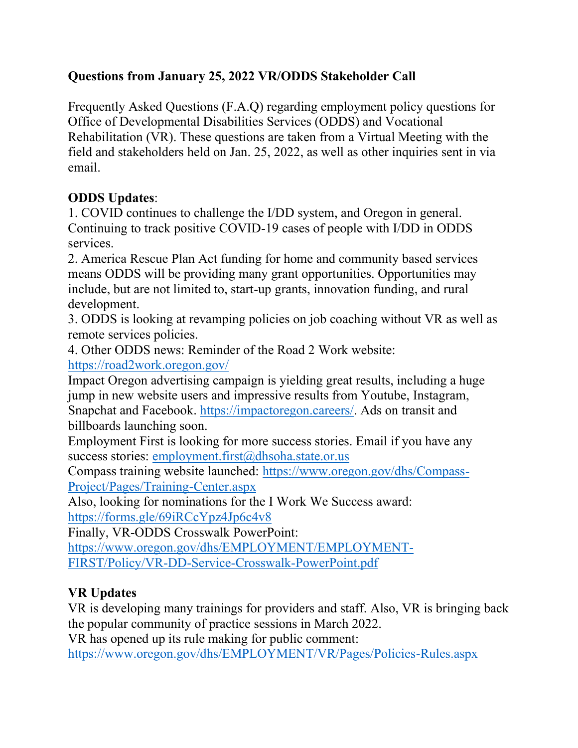## **Questions from January 25, 2022 VR/ODDS Stakeholder Call**

Frequently Asked Questions (F.A.Q) regarding employment policy questions for Office of Developmental Disabilities Services (ODDS) and Vocational Rehabilitation (VR). These questions are taken from a Virtual Meeting with the field and stakeholders held on Jan. 25, 2022, as well as other inquiries sent in via email.

## **ODDS Updates**:

1. COVID continues to challenge the I/DD system, and Oregon in general. Continuing to track positive COVID-19 cases of people with I/DD in ODDS services.

2. America Rescue Plan Act funding for home and community based services means ODDS will be providing many grant opportunities. Opportunities may include, but are not limited to, start-up grants, innovation funding, and rural development.

3. ODDS is looking at revamping policies on job coaching without VR as well as remote services policies.

4. Other ODDS news: Reminder of the Road 2 Work website: <https://road2work.oregon.gov/>

Impact Oregon advertising campaign is yielding great results, including a huge jump in new website users and impressive results from Youtube, Instagram, Snapchat and Facebook. [https://impactoregon.careers/.](https://impactoregon.careers/) Ads on transit and billboards launching soon.

Employment First is looking for more success stories. Email if you have any success stories: [employment.first@dhsoha.state.or.us](mailto:employment.first@dhsoha.state.or.us)

Compass training website launched: [https://www.oregon.gov/dhs/Compass-](https://www.oregon.gov/dhs/Compass-Project/Pages/Training-Center.aspx)[Project/Pages/Training-Center.aspx](https://www.oregon.gov/dhs/Compass-Project/Pages/Training-Center.aspx)

Also, looking for nominations for the I Work We Success award: <https://forms.gle/69iRCcYpz4Jp6c4v8>

Finally, VR-ODDS Crosswalk PowerPoint:

[https://www.oregon.gov/dhs/EMPLOYMENT/EMPLOYMENT-](https://www.oregon.gov/dhs/EMPLOYMENT/EMPLOYMENT-FIRST/Policy/VR-DD-Service-Crosswalk-PowerPoint.pdf)[FIRST/Policy/VR-DD-Service-Crosswalk-PowerPoint.pdf](https://www.oregon.gov/dhs/EMPLOYMENT/EMPLOYMENT-FIRST/Policy/VR-DD-Service-Crosswalk-PowerPoint.pdf)

## **VR Updates**

VR is developing many trainings for providers and staff. Also, VR is bringing back the popular community of practice sessions in March 2022.

VR has opened up its rule making for public comment:

<https://www.oregon.gov/dhs/EMPLOYMENT/VR/Pages/Policies-Rules.aspx>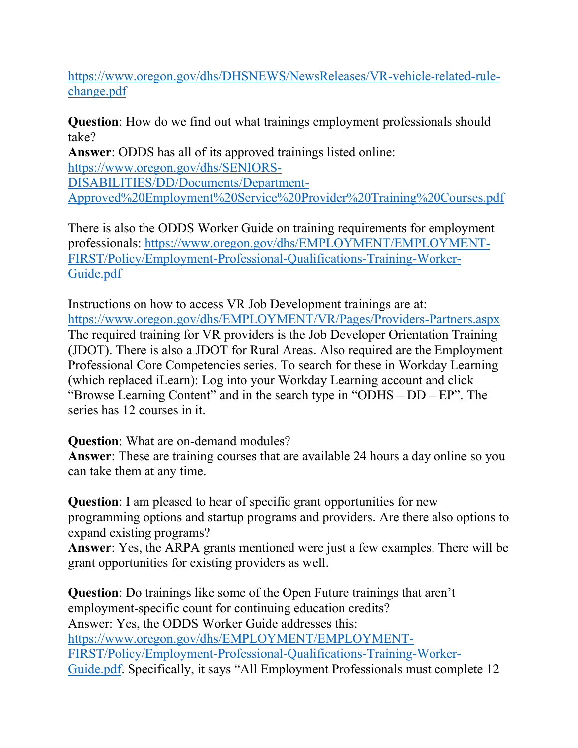[https://www.oregon.gov/dhs/DHSNEWS/NewsReleases/VR-vehicle-related-rule](https://www.oregon.gov/dhs/DHSNEWS/NewsReleases/VR-vehicle-related-rule-change.pdf)[change.pdf](https://www.oregon.gov/dhs/DHSNEWS/NewsReleases/VR-vehicle-related-rule-change.pdf)

**Question**: How do we find out what trainings employment professionals should take?

**Answer**: ODDS has all of its approved trainings listed online: [https://www.oregon.gov/dhs/SENIORS-](https://www.oregon.gov/dhs/SENIORS-DISABILITIES/DD/Documents/Department-Approved%20Employment%20Service%20Provider%20Training%20Courses.pdf)[DISABILITIES/DD/Documents/Department-](https://www.oregon.gov/dhs/SENIORS-DISABILITIES/DD/Documents/Department-Approved%20Employment%20Service%20Provider%20Training%20Courses.pdf)[Approved%20Employment%20Service%20Provider%20Training%20Courses.pdf](https://www.oregon.gov/dhs/SENIORS-DISABILITIES/DD/Documents/Department-Approved%20Employment%20Service%20Provider%20Training%20Courses.pdf)

There is also the ODDS Worker Guide on training requirements for employment professionals: [https://www.oregon.gov/dhs/EMPLOYMENT/EMPLOYMENT-](https://www.oregon.gov/dhs/EMPLOYMENT/EMPLOYMENT-FIRST/Policy/Employment-Professional-Qualifications-Training-Worker-Guide.pdf)[FIRST/Policy/Employment-Professional-Qualifications-Training-Worker-](https://www.oregon.gov/dhs/EMPLOYMENT/EMPLOYMENT-FIRST/Policy/Employment-Professional-Qualifications-Training-Worker-Guide.pdf)[Guide.pdf](https://www.oregon.gov/dhs/EMPLOYMENT/EMPLOYMENT-FIRST/Policy/Employment-Professional-Qualifications-Training-Worker-Guide.pdf)

Instructions on how to access VR Job Development trainings are at: <https://www.oregon.gov/dhs/EMPLOYMENT/VR/Pages/Providers-Partners.aspx> The required training for VR providers is the Job Developer Orientation Training (JDOT). There is also a JDOT for Rural Areas. Also required are the Employment Professional Core Competencies series. To search for these in Workday Learning (which replaced iLearn): Log into your Workday Learning account and click "Browse Learning Content" and in the search type in "ODHS – DD – EP". The series has 12 courses in it.

**Question**: What are on-demand modules?

**Answer**: These are training courses that are available 24 hours a day online so you can take them at any time.

**Question**: I am pleased to hear of specific grant opportunities for new programming options and startup programs and providers. Are there also options to expand existing programs?

**Answer**: Yes, the ARPA grants mentioned were just a few examples. There will be grant opportunities for existing providers as well.

**Question**: Do trainings like some of the Open Future trainings that aren't employment-specific count for continuing education credits? Answer: Yes, the ODDS Worker Guide addresses this: [https://www.oregon.gov/dhs/EMPLOYMENT/EMPLOYMENT-](https://www.oregon.gov/dhs/EMPLOYMENT/EMPLOYMENT-FIRST/Policy/Employment-Professional-Qualifications-Training-Worker-Guide.pdf)[FIRST/Policy/Employment-Professional-Qualifications-Training-Worker-](https://www.oregon.gov/dhs/EMPLOYMENT/EMPLOYMENT-FIRST/Policy/Employment-Professional-Qualifications-Training-Worker-Guide.pdf)[Guide.pdf](https://www.oregon.gov/dhs/EMPLOYMENT/EMPLOYMENT-FIRST/Policy/Employment-Professional-Qualifications-Training-Worker-Guide.pdf). Specifically, it says "All Employment Professionals must complete 12